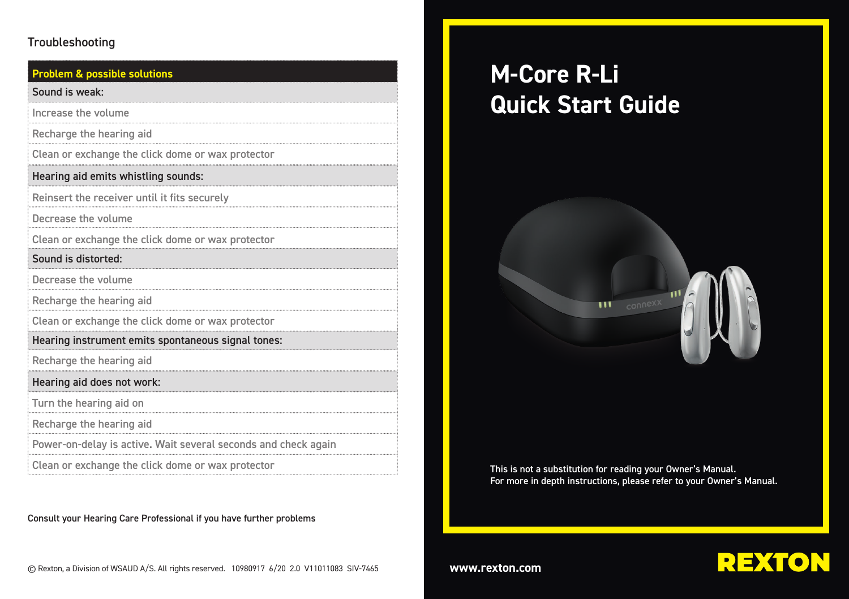#### Troubleshooting

## **Problem & possible solutions** Sound is weak: Hearing aid emits whistling sounds: Sound is distorted: Increase the volume Recharge the hearing aid Clean or exchange the click dome or wax protector Reinsert the receiver until it fits securely Decrease the volume Clean or exchange the click dome or wax protector Decrease the volume Recharge the hearing aid

Clean or exchange the click dome or wax protector

Hearing instrument emits spontaneous signal tones:

Recharge the hearing aid

Hearing aid does not work:

Turn the hearing aid on

Recharge the hearing aid

Power-on-delay is active. Wait several seconds and check again

Clean or exchange the click dome or wax protector

Consult your Hearing Care Professional if you have further problems

# **M-Core R-Li Quick Start Guide**



This is not a substitution for reading your Owner's Manual. For more in depth instructions, please refer to your Owner's Manual.